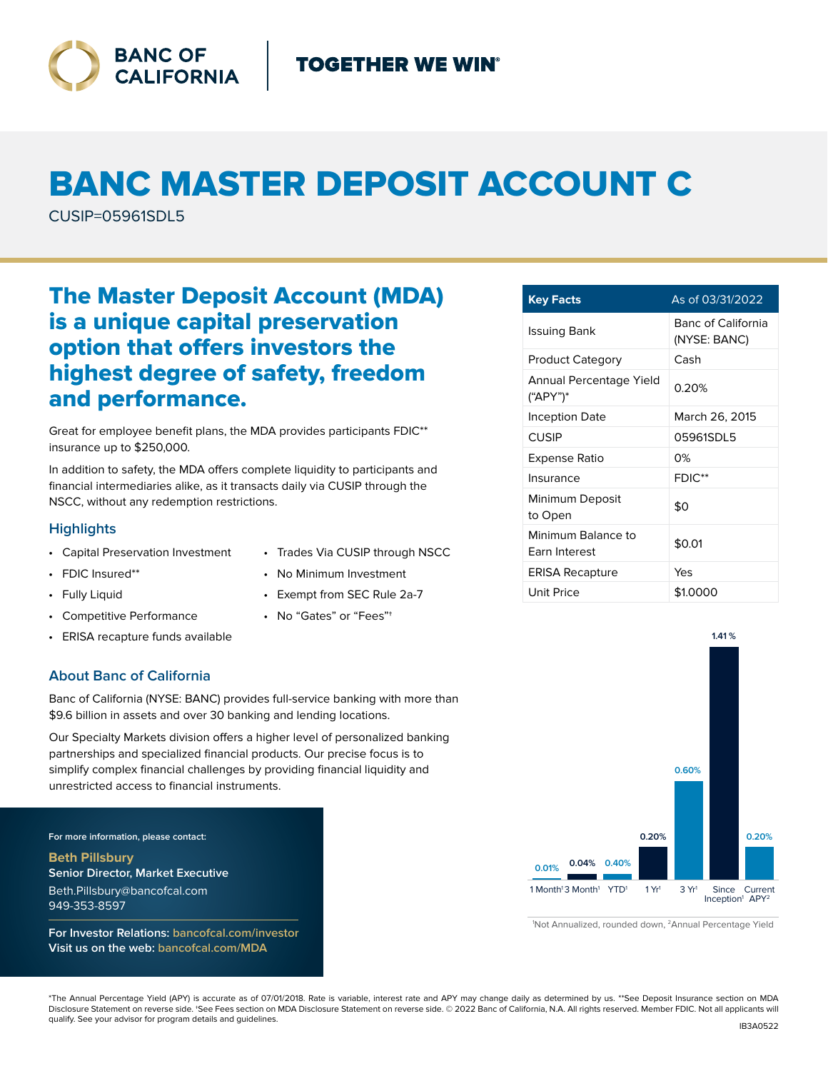

# BANC MASTER DEPOSIT ACCOUNT C

CUSIP=05961SDL5

# The Master Deposit Account (MDA) is a unique capital preservation option that offers investors the highest degree of safety, freedom and performance.

Great for employee benefit plans, the MDA provides participants FDIC\*\* insurance up to \$250,000.

In addition to safety, the MDA offers complete liquidity to participants and financial intermediaries alike, as it transacts daily via CUSIP through the NSCC, without any redemption restrictions.

## **Highlights**

- Capital Preservation Investment
- FDIC Insured\*\*
- Fully Liquid
- Competitive Performance
- ERISA recapture funds available

### **About Banc of California**

Banc of California (NYSE: BANC) provides full-service banking with more than \$9.6 billion in assets and over 30 banking and lending locations.

Our Specialty Markets division offers a higher level of personalized banking partnerships and specialized financial products. Our precise focus is to simplify complex financial challenges by providing financial liquidity and unrestricted access to financial instruments.

**For more information, please contact:**

**Beth Pillsbury Senior Director, Market Executive** Beth.Pillsbury@bancofcal.com 949-353-8597

**For Investor Relations: bancofcal.com/investor Visit us on the web: bancofcal.com/MDA**

- Trades Via CUSIP through NSCC
- No Minimum Investment
- Exempt from SEC Rule 2a-7
- No "Gates" or "Fees"†

| <b>Key Facts</b>                    | As of 03/31/2022                   |
|-------------------------------------|------------------------------------|
| Issuing Bank                        | Banc of California<br>(NYSE: BANC) |
| <b>Product Category</b>             | Cash                               |
| Annual Percentage Yield<br>("APY")* | 0.20%                              |
| Inception Date                      | March 26, 2015                     |
| CUSIP                               | 05961SDL5                          |
| Expense Ratio                       | 0%                                 |
| Insurance                           | FDIC**                             |
| Minimum Deposit<br>to Open          | \$0                                |
| Minimum Balance to<br>Earn Interest | \$0.01                             |
| <b>ERISA Recapture</b>              | Yes                                |
| Unit Price                          | \$1.0000                           |



<sup>1</sup>Not Annualized, rounded down, <sup>2</sup>Annual Percentage Yield

\*The Annual Percentage Yield (APY) is accurate as of 07/01/2018. Rate is variable, interest rate and APY may change daily as determined by us. \*\*See Deposit Insurance section on MDA Disclosure Statement on reverse side. †See Fees section on MDA Disclosure Statement on reverse side. © 2022 Banc of California, N.A. All rights reserved. Member FDIC. Not all applicants will qualify. See your advisor for program details and guidelines.